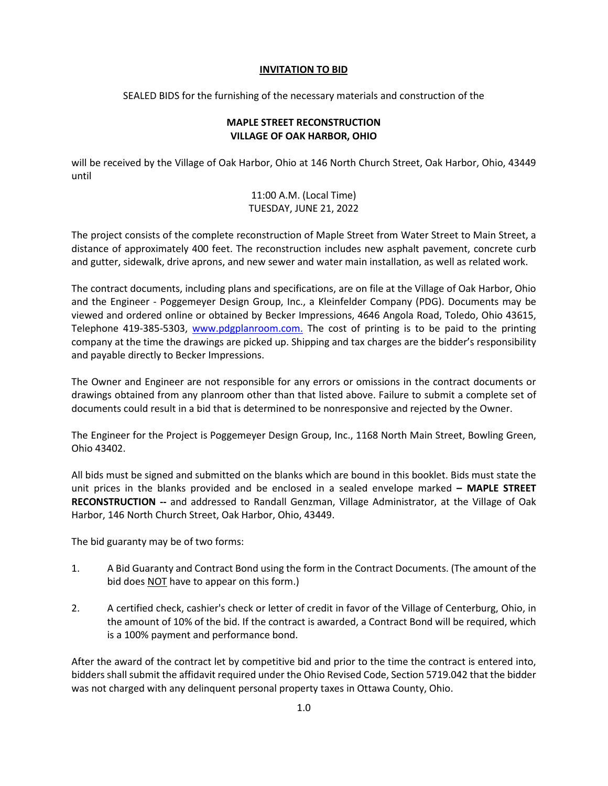## **INVITATION TO BID**

SEALED BIDS for the furnishing of the necessary materials and construction of the

## **MAPLE STREET RECONSTRUCTION VILLAGE OF OAK HARBOR, OHIO**

will be received by the Village of Oak Harbor, Ohio at 146 North Church Street, Oak Harbor, Ohio, 43449 until

## 11:00 A.M. (Local Time) TUESDAY, JUNE 21, 2022

The project consists of the complete reconstruction of Maple Street from Water Street to Main Street, a distance of approximately 400 feet. The reconstruction includes new asphalt pavement, concrete curb and gutter, sidewalk, drive aprons, and new sewer and water main installation, as well as related work.

The contract documents, including plans and specifications, are on file at the Village of Oak Harbor, Ohio and the Engineer - Poggemeyer Design Group, Inc., a Kleinfelder Company (PDG). Documents may be viewed and ordered online or obtained by Becker Impressions, 4646 Angola Road, Toledo, Ohio 43615, Telephone 419-385-5303, [www.pdgplanroom.com.](http://www.pdgplanroom.com./) The cost of printing is to be paid to the printing company at the time the drawings are picked up. Shipping and tax charges are the bidder's responsibility and payable directly to Becker Impressions.

The Owner and Engineer are not responsible for any errors or omissions in the contract documents or drawings obtained from any planroom other than that listed above. Failure to submit a complete set of documents could result in a bid that is determined to be nonresponsive and rejected by the Owner.

The Engineer for the Project is Poggemeyer Design Group, Inc., 1168 North Main Street, Bowling Green, Ohio 43402.

All bids must be signed and submitted on the blanks which are bound in this booklet. Bids must state the unit prices in the blanks provided and be enclosed in a sealed envelope marked **– MAPLE STREET RECONSTRUCTION --** and addressed to Randall Genzman, Village Administrator, at the Village of Oak Harbor, 146 North Church Street, Oak Harbor, Ohio, 43449.

The bid guaranty may be of two forms:

- 1. A Bid Guaranty and Contract Bond using the form in the Contract Documents. (The amount of the bid does NOT have to appear on this form.)
- 2. A certified check, cashier's check or letter of credit in favor of the Village of Centerburg, Ohio, in the amount of 10% of the bid. If the contract is awarded, a Contract Bond will be required, which is a 100% payment and performance bond.

After the award of the contract let by competitive bid and prior to the time the contract is entered into, bidders shall submit the affidavit required under the Ohio Revised Code, Section 5719.042 that the bidder was not charged with any delinquent personal property taxes in Ottawa County, Ohio.